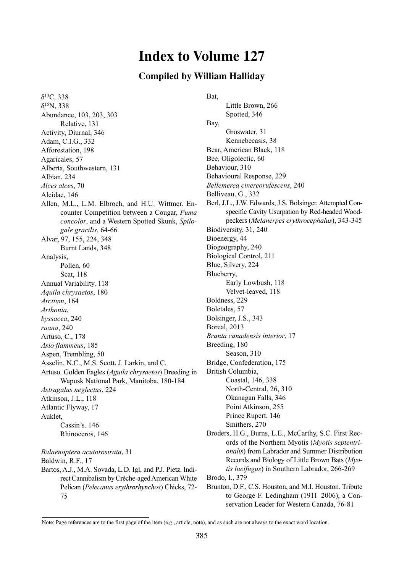# **Index to Volume 127**

## **Compiled by William Halliday**

 $δ<sup>13</sup>C, 338$ δ15N, 338 Abundance, 103, 203, 303 Relative, 131 Activity, Diurnal, 346 Adam, C.I.G., 332 Afforestation, 198 Agaricales, 57 Alberta, Southwestern, 131 Albian, 234 *Alces alces*, 70 Alcidae, 146 Allen, M.L., L.M. Elbroch, and H.U. Wittmer. Encounter Competition between a Cougar, *Puma concolor*, and a Western Spotted Skunk, *Spilogale gracilis*, 64-66 Alvar, 97, 155, 224, 348 Burnt Lands, 348 Analysis, Pollen, 60 Scat, 118 Annual Variability, 118 *Aquila chrysaetos*, 180 *Arctium*, 164 *Arthonia*, *byssacea*, 240 *ruana*, 240 Artuso, C., 178 *Asio flammeus*, 185 Aspen, Trembling, 50 Asselin, N.C., M.S. Scott, J. Larkin, and C. Artuso. Golden Eagles (*Aguila chrysaetos*) Breeding in Wapusk National Park, Manitoba, 180-184 *Astragalus neglectus*, 224 Atkinson, J.L., 118 Atlantic Flyway, 17 Auklet, Cassin's. 146 Rhinoceros, 146

Baldwin, R.F., 17 Bartos, A.J., M.A. Sovada, L.D. Igl, and P.J. Pietz. Indirect Cannibalism by Crèche-aged American White Pelican (*Pelecanus erythrorhynchos*) Chicks, 72- 75

*Balaenoptera acutorostrata*, 31

Bat,

Little Brown, 266 Spotted, 346 Bay, Groswater, 31 Kennebecasis, 38 Bear, American Black, 118 Bee, Oligolectic, 60 Behaviour, 310 Behavioural Response, 229 *Bellemerea cinereorufescens*, 240 Belliveau, G., 332 Berl, J.L., J.W. Edwards, J.S. Bolsinger. Attempted Conspecific Cavity Usurpation by Red-headed Woodpeckers (*Melanerpes erythrocephalus*), 343-345 Biodiversity, 31, 240 Bioenergy, 44 Biogeography, 240 Biological Control, 211 Blue, Silvery, 224 Blueberry, Early Lowbush, 118 Velvet-leaved, 118 Boldness, 229 Boletales, 57 Bolsinger, J.S., 343 Boreal, 2013 *Branta canadensis interior*, 17 Breeding, 180 Season, 310 Bridge, Confederation, 175 British Columbia, Coastal, 146, 338 North-Central, 26, 310 Okanagan Falls, 346 Point Atkinson, 255 Prince Rupert, 146 Smithers, 270 Broders, H.G., Burns, L.E., McCarthy, S.C. First Records of the Northern Myotis (*Myotis septentrionalis*) from Labrador and Summer Distribution Records and Biology of Little Brown Bats (*Myotis lucifugus*) in Southern Labrador, 266-269 Brodo, I., 379 Brunton, D.F., C.S. Houston, and M.I. Houston. Tribute

> to George F. Ledingham (1911–2006), a Conservation Leader for Western Canada, 76-81

Note: Page references are to the first page of the item (e.g., article, note), and as such are not always to the exact word location.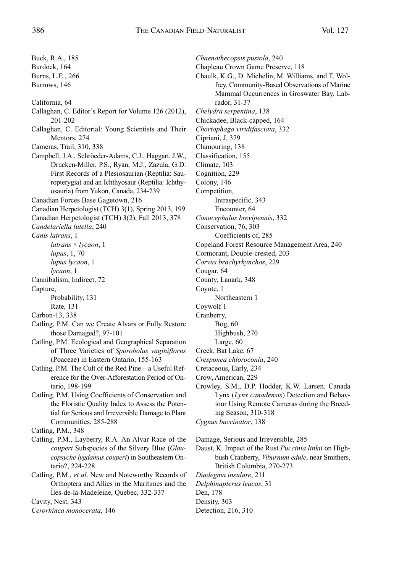*Chaenothecopsis pusiola*, 240 Chapleau Crown Game Preserve, 118

Chaulk, K.G., D. Michelin, M. Williams, and T. Wolfrey. Community-Based Observations of Marine

Buck, R.A., 185 Burdock, 164 Burns, L.E., 266 Burrows, 146 California, 64 Callaghan, C. Editor's Report for Volume 126 (2012), 201-202 Callaghan, C. Editorial: Young Scientists and Their Mentors, 274 Cameras, Trail, 310, 338 Campbell, J.A., Schröeder-Adams, C.J., Haggart, J.W., Drucken-Miller, P.S., Ryan, M.J., Zazula, G.D. First Records of a Plesiosaurian (Reptilia: Sauropterygia) and an Ichthyosaur (Reptilia: Ichthyosauria) from Yukon, Canada, 234-239 Canadian Forces Base Gagetown, 216 Canadian Herpetologist (TCH) 3(1), Spring 2013, 199 Canadian Herpetologist (TCH) 3(2), Fall 2013, 378 *Candelariella lutella*, 240 *Canis latrans*, 1 *latrans* × *lycaon*, 1 *lupus*, 1, 70 *lupus lycaon*, 1 *lycaon*, 1 Cannibalism, Indirect, 72 Capture, Probability, 131 Rate, 131 Carbon-13, 338 Catling, P.M. Can we Create Alvars or Fully Restore those Damaged?, 97-101 Catling, P.M. Ecological and Geographical Separation of Three Varieties of *Sporobolus vaginiflorus* (Poaceae) in Eastern Ontario, 155-163 Catling, P.M. The Cult of the Red Pine – a Useful Reference for the Over-Afforestation Period of Ontario, 198-199 Catling, P.M. Using Coefficients of Conservation and the Floristic Quality Index to Assess the Potential for Serious and Irreversible Damage to Plant Communities, 285-288 Catling, P.M., 348 Catling, P.M., Layberry, R.A. An Alvar Race of the *couperi* Subspecies of the Silvery Blue (*Glaucopsyche lygdamus couperi*) in Southeastern Ontario?, 224-228 Catling, P.M., *et al*. New and Noteworthy Records of Orthoptera and Allies in the Maritimes and the Îles-de-la-Madeleine, Quebec, 332-337 Cavity, Nest, 343 *Cerorhinca monocerata*, 146

Mammal Occurrences in Groswater Bay, Labrador, 31-37 *Chelydra serpentina*, 138 Chickadee, Black-capped, 164 *Chortophaga viridifasciata*, 332 Cipriani, J, 379 Clamouring, 138 Classification, 155 Climate, 103 Cognition, 229 Colony, 146 Competition, Intraspecific, 343 Encounter, 64 *Conocephalus brevipennis*, 332 Conservation, 76, 303 Coefficients of, 285 Copeland Forest Resource Management Area, 240 Cormorant, Double-crested, 203 *Corvus brachyrhynchos*, 229 Cougar, 64 County, Lanark, 348 Coyote, 1 Northeastern 1 Coywolf 1 Cranberry, Bog, 60 Highbush, 270 Large, 60 Creek, Bat Lake, 67 *Cresponea chloroconia*, 240 Cretaceous, Early, 234 Crow, American, 229 Crowley, S.M., D.P. Hodder, K.W. Larsen. Canada

Lynx (*Lynx canadensis*) Detection and Behaviour Using Remote Cameras during the Breeding Season, 310-318 *Cygnus buccinator*, 138

Damage, Serious and Irreversible, 285

Daust, K. Impact of the Rust *Puccinia linkii* on Highbush Cranberry, *Viburnum edule*, near Smithers, British Columbia, 270-273

*Diadegma insulare*, 211 *Delphinapterus leucas*, 31 Den, 178 Density, 303

Detection, 216, 310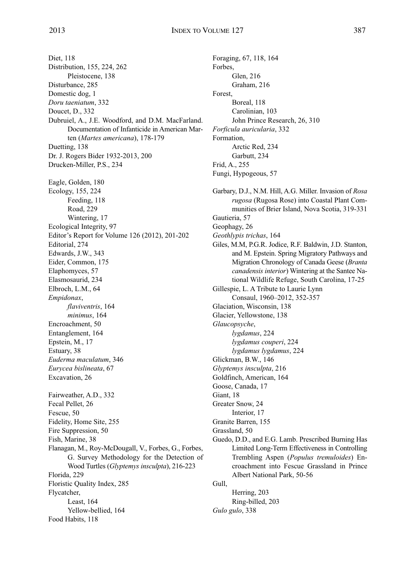Forbes,

Foraging, 67, 118, 164

Glen, 216 Graham, 216

Diet, 118 Distribution, 155, 224, 262 Pleistocene, 138 Disturbance, 285 Domestic dog, 1 *Doru taeniatum*, 332 Doucet, D., 332 Dubruiel, A., J.E. Woodford, and D.M. MacFarland. Documentation of Infanticide in American Marten (*Martes americana*), 178-179 Duetting, 138 Dr. J. Rogers Bider 1932-2013, 200 Drucken-Miller, P.S., 234 Eagle, Golden, 180 Ecology, 155, 224 Feeding, 118 Road, 229 Wintering, 17 Ecological Integrity, 97 Editor's Report for Volume 126 (2012), 201-202 Editorial, 274 Edwards, J.W., 343 Eider, Common, 175 Elaphomyces, 57 Elasmosaurid, 234 Elbroch, L.M., 64 *Empidonax*, *flaviventris*, 164 *minimus*, 164 Encroachment, 50 Entanglement, 164 Epstein, M., 17 Estuary, 38 *Euderma maculatum*, 346 *Eurycea bislineata*, 67 Excavation, 26 Fairweather, A.D., 332 Fecal Pellet, 26 Fescue, 50 Fidelity, Home Site, 255 Fire Suppression, 50 Fish, Marine, 38 Flanagan, M., Roy-McDougall, V., Forbes, G., Forbes, G. Survey Methodology for the Detection of Wood Turtles (*Glyptemys insculpta*), 216-223 Florida, 229 Floristic Quality Index, 285 Flycatcher, Least, 164 Yellow-bellied, 164 Food Habits, 118

Forest, Boreal, 118 Carolinian, 103 John Prince Research, 26, 310 *Forficula auricularia*, 332 Formation, Arctic Red, 234 Garbutt, 234 Frid, A., 255 Fungi, Hypogeous, 57 Garbary, D.J., N.M. Hill, A.G. Miller. Invasion of *Rosa rugosa* (Rugosa Rose) into Coastal Plant Communities of Brier Island, Nova Scotia, 319-331 Gautieria, 57 Geophagy, 26 *Geothlypis trichas*, 164 Giles, M.M, P.G.R. Jodice, R.F. Baldwin, J.D. Stanton, and M. Epstein. Spring Migratory Pathways and Migration Chronology of Canada Geese (*Branta canadensis interior*) Wintering at the Santee National Wildlife Refuge, South Carolina, 17-25 Gillespie, L. A Tribute to Laurie Lynn Consaul, 1960-2012, 352-357 Glaciation, Wisconsin, 138 Glacier, Yellowstone, 138 *Glaucopsyche*, *lygdamus*, 224 *lygdamus couperi*, 224 *lygdamus lygdamus*, 224 Glickman, B.W., 146 *Glyptemys insculpta*, 216 Goldfinch, American, 164 Goose, Canada, 17 Giant, 18 Greater Snow, 24 Interior, 17 Granite Barren, 155 Grassland, 50 Guedo, D.D., and E.G. Lamb. Prescribed Burning Has Limited Long-Term Effectiveness in Controlling Trembling Aspen (*Populus tremuloides*) Encroachment into Fescue Grassland in Prince Albert National Park, 50-56 Gull, Herring, 203 Ring-billed, 203 *Gulo gulo*, 338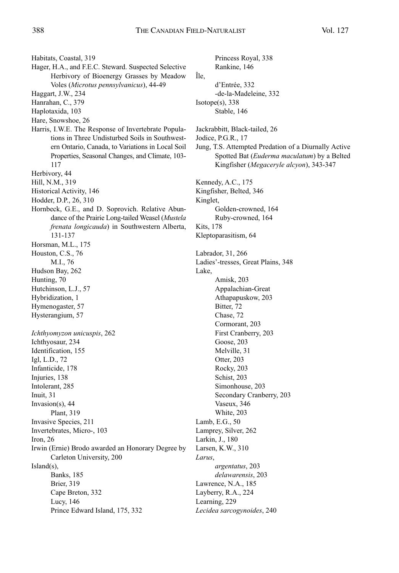Habitats, Coastal, 319

- Hager, H.A., and F.E.C. Steward. Suspected Selective Herbivory of Bioenergy Grasses by Meadow Voles (*Microtus pennsylvanicus*), 44-49
- Haggart, J.W., 234
- Hanrahan, C., 379
- Haplotaxida, 103
- Hare, Snowshoe, 26
- Harris, I.W.E. The Response of Invertebrate Populations in Three Undisturbed Soils in Southwestern Ontario, Canada, to Variations in Local Soil Properties, Seasonal Changes, and Climate, 103- 117
- Herbivory, 44
- Hill, N.M., 319
- Historical Activity, 146
- Hodder, D.P., 26, 310
- Hornbeck, G.E., and D. Soprovich. Relative Abundance of the Prairie Long-tailed Weasel (*Mustela frenata longicauda*) in Southwestern Alberta, 131-137

Horsman, M.L., 175

Houston, C.S., 76

- M.I., 76 Hudson Bay, 262 Hunting, 70
- Hutchinson, L.J., 57 Hybridization, 1
- Hymenogaster, 57
- Hysterangium, 57

*Ichthyomyzon unicuspis*, 262 Ichthyosaur, 234 Identification, 155 Igl, L.D., 72 Infanticide, 178 Injuries, 138 Intolerant, 285 Inuit, 31 Invasion(s), 44 Plant, 319 Invasive Species, 211 Invertebrates, Micro-, 103 Iron, 26 Irwin (Ernie) Brodo awarded an Honorary Degree by Carleton University, 200 Island(s), Banks, 185 Brier, 319 Cape Breton, 332 Lucy, 146 Prince Edward Island, 175, 332

Princess Royal, 338 Rankine, 146 Île, d'Entrée, 332 -de-la-Madeleine, 332 Isotope(s), 338 Stable, 146 Jackrabbitt, Black-tailed, 26 Jodice, P.G.R., 17 Jung, T.S. Attempted Predation of a Diurnally Active Spotted Bat (*Euderma maculatum*) by a Belted Kingfisher (*Megaceryle alcyon*), 343-347 Kennedy, A.C., 175 Kingfisher, Belted, 346 Kinglet, Golden-crowned, 164 Ruby-crowned, 164 Kits, 178 Kleptoparasitism, 64 Labrador, 31, 266 Ladies'-tresses, Great Plains, 348 Lake, Amisk, 203 Appalachian-Great Athapapuskow, 203 Bitter, 72 Chase, 72 Cormorant, 203 First Cranberry, 203 Goose, 203 Melville, 31 Otter, 203 Rocky, 203 Schist, 203 Simonhouse, 203 Secondary Cranberry, 203 Vaseux, 346 White, 203 Lamb, E.G., 50 Lamprey, Silver, 262 Larkin, J., 180 Larsen, K.W., 310 *Larus*, *argentatus*, 203 *delawarensis*, 203 Lawrence, N.A., 185 Layberry, R.A., 224

Learning, 229

*Lecidea sarcogynoides*, 240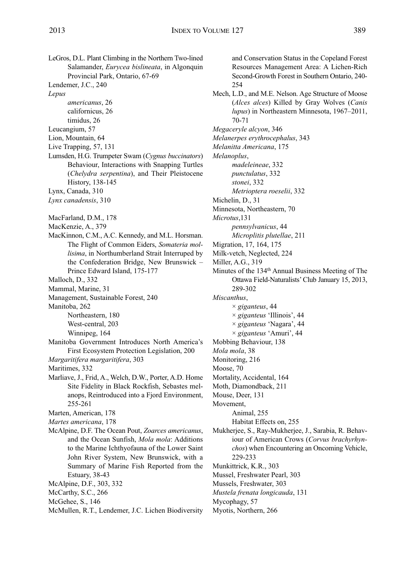LeGros, D.L. Plant Climbing in the Northern Two-lined Salamander, *Eurycea bislineata*, in Algonquin Provincial Park, Ontario, 67-69 Lendemer, J.C., 240 *Lepus americanus*, 26 californicus, 26 timidus, 26 Leucangium, 57 Lion, Mountain, 64 Live Trapping, 57, 131 Lumsden, H.G. Trumpeter Swam (*Cygnus buccinators*) Behaviour, Interactions with Snapping Turtles (*Chelydra serpentina*), and Their Pleistocene History, 138-145 Lynx, Canada, 310 *Lynx canadensis*, 310 MacFarland, D.M., 178 MacKenzie, A., 379 MacKinnon, C.M., A.C. Kennedy, and M.L. Horsman. The Flight of Common Eiders, *Somateria mollisima*, in Northumberland Strait Interruped by the Confederation Bridge, New Brunswick – Prince Edward Island, 175-177 Malloch, D., 332 Mammal, Marine, 31 Management, Sustainable Forest, 240 Manitoba, 262 Northeastern, 180 West-central, 203 Winnipeg, 164 Manitoba Government Introduces North America's First Ecosystem Protection Legislation, 200 *Margaritifera margaritifera*, 303 Maritimes, 332 Marliave, J., Frid, A., Welch, D.W., Porter, A.D. Home Site Fidelity in Black Rockfish, Sebastes mel-

anops, Reintroduced into a Fjord Environment, 255-261

Marten, American, 178

*Martes americana*, 178

- McAlpine, D.F. The Ocean Pout, *Zoarces americanus*, and the Ocean Sunfish, *Mola mola*: Additions to the Marine Ichthyofauna of the Lower Saint John River System, New Brunswick, with a Summary of Marine Fish Reported from the Estuary, 38-43
- McAlpine, D.F., 303, 332
- McCarthy, S.C., 266
- McGehee, S., 146
- McMullen, R.T., Lendemer, J.C. Lichen Biodiversity

and Conservation Status in the Copeland Forest Resources Management Area: A Lichen-Rich Second-Growth Forest in Southern Ontario, 240- 254 Mech, L.D., and M.E. Nelson. Age Structure of Moose (*Alces alces*) Killed by Gray Wolves (*Canis lupus*) in Northeastern Minnesota, 1967–2011, 70-71 *Megaceryle alcyon*, 346 *Melanerpes erythrocephalus*, 343 *Melanitta Americana*, 175 *Melanoplus*, *madeleineae*, 332 *punctulatus*, 332 *stonei*, 332 *Metrioptera roeselii*, 332 Michelin, D., 31 Minnesota, Northeastern, 70 *Microtus*,131 *pennsylvanicus*, 44 *Microplitis plutellae*, 211 Migration, 17, 164, 175 Milk-vetch, Neglected, 224 Miller, A.G., 319 Minutes of the 134<sup>th</sup> Annual Business Meeting of The Ottawa Field-Naturalists'Club January 15, 2013, 289-302 *Miscanthus*, × *giganteus*, 44 × *giganteus* 'Illinois', 44 × *giganteus* 'Nagara', 44 × *giganteus* 'Amuri', 44 Mobbing Behaviour, 138 *Mola mola*, 38 Monitoring, 216 Moose, 70 Mortality, Accidental, 164 Moth, Diamondback, 211 Mouse, Deer, 131 Movement, Animal, 255 Habitat Effects on, 255 Mukherjee, S., Ray-Mukherjee, J., Sarabia, R. Behaviour of American Crows (*Corvus brachyrhynchos*) when Encountering an Oncoming Vehicle, 229-233 Munkittrick, K.R., 303 Mussel, Freshwater Pearl, 303 Mussels, Freshwater, 303 *Mustela frenata longicauda*, 131 Mycophagy, 57 Myotis, Northern, 266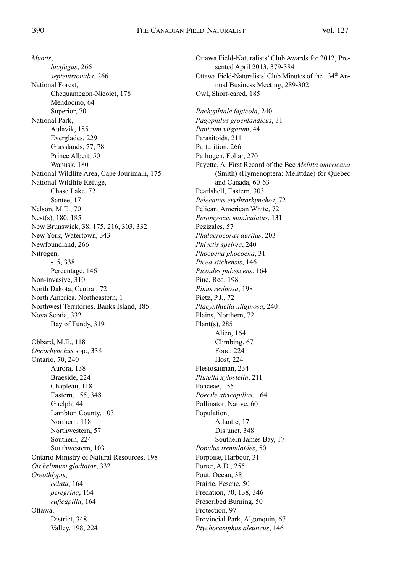*Myotis*, *lucifugus*, 266 *septentrionalis*, 266 National Forest, Chequamegon-Nicolet, 178 Mendocino, 64 Superior, 70 National Park, Aulavik, 185 Everglades, 229 Grasslands, 77, 78 Prince Albert, 50 Wapusk, 180 National Wildlife Area, Cape Jourimain, 175 National Wildlife Refuge, Chase Lake, 72 Santee, 17 Nelson, M.E., 70 Nest(s), 180, 185 New Brunswick, 38, 175, 216, 303, 332 New York, Watertown, 343 Newfoundland, 266 Nitrogen, -15, 338 Percentage, 146 Non-invasive, 310 North Dakota, Central, 72 North America, Northeastern, 1 Northwest Territories, Banks Island, 185 Nova Scotia, 332 Bay of Fundy, 319 Obbard, M.E., 118 *Oncorhynchus* spp., 338 Ontario, 70, 240 Aurora, 138 Braeside, 224 Chapleau, 118 Eastern, 155, 348 Guelph, 44 Lambton County, 103 Northern, 118 Northwestern, 57 Southern, 224 Southwestern, 103 Ontario Ministry of Natural Resources, 198 *Orchelimum gladiator*, 332 *Oreothlypis*, *celata*, 164 *peregrina*, 164 *ruficapilla*, 164 Ottawa, District, 348 Valley, 198, 224

Ottawa Field-Naturalists' Club Awards for 2012, Presented April 2013, 379-384 Ottawa Field-Naturalists' Club Minutes of the 134<sup>th</sup> Annual Business Meeting, 289-302 Owl, Short-eared, 185 *Pachyphiale fagicola*, 240 *Pagophilus groenlandicus*, 31 *Panicum virgatum*, 44 Parasitoids, 211 Parturition, 266 Pathogen, Foliar, 270 Payette, A. First Record of the Bee *Melitta americana* (Smith) (Hymenoptera: Melittdae) for Quebec and Canada, 60-63 Pearlshell, Eastern, 303 *Pelecanus erythrorhynchos*, 72 Pelican, American White, 72 *Peromyscus maniculatus*, 131 Pezizales, 57 *Phalacrocorax auritus*, 203 *Phlyctis speirea*, 240 *Phocoena phocoena*, 31 *Picea sitchensis*, 146 *Picoides pubescens*. 164 Pine, Red, 198 *Pinus resinosa*, 198 Pietz, P.J., 72 *Placynthiella uliginosa*, 240 Plains, Northern, 72 Plant(s), 285 Alien, 164 Climbing, 67 Food, 224 Host, 224 Plesiosaurian, 234 *Plutella xylostella*, 211 Poaceae, 155 *Poecile atricapillus*, 164 Pollinator, Native, 60 Population, Atlantic, 17 Disjunct, 348 Southern James Bay, 17 *Populus tremuloides*, 50 Porpoise, Harbour, 31 Porter, A.D., 255 Pout, Ocean, 38 Prairie, Fescue, 50 Predation, 70, 138, 346 Prescribed Burning, 50 Protection, 97 Provincial Park, Algonquin, 67 *Ptychoramphus aleuticus*, 146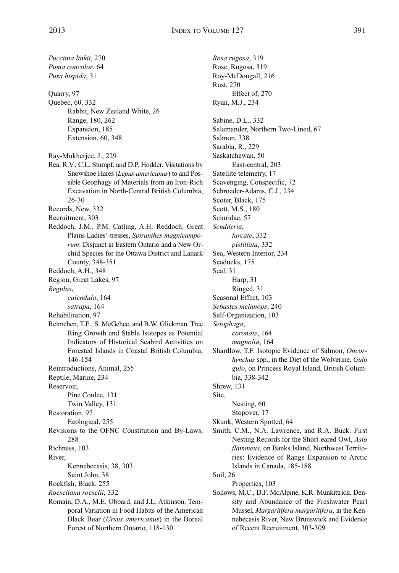*Puccinia linkii*, 270 *Puma concolor*, 64 *Pusa hispida*, 31

Quarry, 97 Quebec, 60, 332 Rabbit, New Zealand White, 26 Range, 180, 262 Expansion, 185 Extension, 60, 348

- Ray-Mukherjee, J., 229
- Rea, R.V., C.L. Stumpf, and D.P. Hodder. Visitations by Snowshoe Hares (*Lepus americanus*) to and Possible Geophagy of Materials from an Iron-Rich Excavation in North-Central British Columbia, 26-30
- Records, New, 332
- Recruitment, 303
- Reddoch, J.M., P.M. Catling, A.H. Reddoch. Great Plains Ladies'-tresses, *Spiranthes magnicamporum*: Disjunct in Eastern Ontario and a New Orchid Species for the Ottawa District and Lanark County, 348-351
- Reddoch, A.H., 348
- Region, Great Lakes, 97

*Regulus*,

*calendula*, 164

- *satrapa*, 164
- Rehabilitation, 97
- Reimchen, T.E., S. McGehee, and B.W. Glickman. Tree Ring Growth and Stable Isotopes as Potential Indicators of Historical Seabird Activities on Forested Islands in Coastal British Columbia, 146-154

Reintroductions, Animal, 255

Reptile, Marine, 234

Reservoir,

Pine Coulee, 131

- Twin Valley, 131
- Restoration, 97
	- Ecological, 255
- Revisions to the OFNC Constitution and By-Laws, 288
- Richness, 103
- River,
	- Kennebecasis, 38, 303
- Saint John, 38
- Rockfish, Black, 255
- *Roeseliana roeselii*, 332
- Romain, D.A., M.E. Obbard, and J.L. Atkinson. Temporal Variation in Food Habits of the American Black Bear (*Ursus americanus*) in the Boreal Forest of Northern Ontario, 118-130

*Rosa rugosa*, 319 Rose, Rugosa, 319 Roy-McDougall, 216 Rust, 270 Effect of, 270 Ryan, M.J., 234 Sabine, D.L., 332 Salamander, Northern Two-Lined, 67 Salmon, 338 Sarabia, R., 229 Saskatchewan, 50 East-central, 203 Satellite telemetry, 17 Scavenging, Conspecific, 72 Schröeder-Adams, C.J., 234 Scoter, Black, 175 Scott, M.S., 180 Sciuridae, 57 *Scudderia, furcate*, 332 *pistillata*, 332 Sea, Western Interior, 234 Seaducks, 175 Seal, 31 Harp, 31 Ringed, 31 Seasonal Effect, 103 *Sebastes melanops*, 240 Self-Organization, 103 *Setophaga*, *coronate*, 164 *magnolia*, 164 Shardlow, T.F. Isotopic Evidence of Salmon, *Oncorhynchus* spp., in the Diet of the Wolverine, *Gulo gulo*, on Princess Royal Island, British Columbia, 338-342 Shrew, 131 Site, Nesting, 60 Stopover, 17 Skunk, Western Spotted, 64 Smith, C.M., N.A. Lawrence, and R.A. Buck. First Nesting Records for the Short-eared Owl, *Asio flammeus*, on Banks Island, Northwest Territories: Evidence of Range Expansion to Arctic Islands in Canada, 185-188 Soil, 26 Properties, 103 Sollows, M.C., D.F. McAlpine, K.R. Munkittrick. Density and Abundance of the Freshwater Pearl Mussel, *Margaritifera margaritifera*, in the Ken-

nebecasis River, New Brunswick and Evidence

of Recent Recruitment, 303-309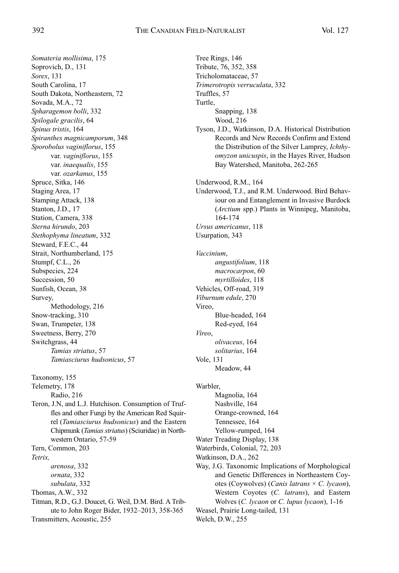*Somateria mollisima*, 175 Soprovich, D., 131 *Sorex*, 131 South Carolina, 17 South Dakota, Northeastern, 72 Sovada, M.A., 72 *Spharagemon bolli*, 332 *Spilogale gracilis*, 64 *Spinus tristis*, 164 *Spiranthes magnicamporum*, 348 *Sporobolus vaginiflorus*, 155 var. *vaginiflorus*, 155 var. *inaequalis*, 155 var. *ozarkanus*, 155 Spruce, Sitka, 146 Staging Area, 17 Stamping Attack, 138 Stanton, J.D., 17 Station, Camera, 338 *Sterna hirundo*, 203 *Stethophyma lineatum*, 332 Steward, F.E.C., 44 Strait, Northumberland, 175 Stumpf, C.L., 26 Subspecies, 224 Succession, 50 Sunfish, Ocean, 38 Survey, Methodology, 216 Snow-tracking, 310 Swan, Trumpeter, 138 Sweetness, Berry, 270 Switchgrass, 44 *Tamias striatus*, 57 *Tamiasciurus hudsonicus*, 57 Taxonomy, 155 Telemetry, 178 Radio, 216 Teron, J.N, and L.J. Hutchison. Consumption of Truffles and other Fungi by the American Red Squirrel (*Tamiasciurus hudsonicus*) and the Eastern Chipmunk (*Tamias striatus*) (Sciuridae) in Northwestern Ontario, 57-59 Tern, Common, 203 *Tetrix, arenosa*, 332 *ornata*, 332 *subulata*, 332 Thomas, A.W., 332 Titman, R.D., G.J. Doucet, G. Weil, D.M. Bird. A Tribute to John Roger Bider, 1932–2013, 358-365 Transmitters, Acoustic, 255

Tree Rings, 146 Tribute, 76, 352, 358 Tricholomataceae, 57 *Trimerotropis verruculata*, 332 Truffles, 57 Turtle, Snapping, 138 Wood, 216 Tyson, J.D., Watkinson, D.A. Historical Distribution Records and New Records Confirm and Extend the Distribution of the Silver Lamprey, *Ichthyomyzon unicuspis*, in the Hayes River, Hudson Bay Watershed, Manitoba, 262-265 Underwood, R.M., 164 Underwood, T.J., and R.M. Underwood. Bird Behaviour on and Entanglement in Invasive Burdock (*Arctium* spp.) Plants in Winnipeg, Manitoba, 164-174 *Ursus americanus*, 118 Usurpation, 343 *Vaccinium*, *angustifolium*, 118 *macrocarpon*, 60 *myrtilloides*, 118 Vehicles, Off-road, 319 *Viburnum edule*, 270 Vireo, Blue-headed, 164 Red-eyed, 164 *Vireo*, *olivaceus*, 164 *solitarius*, 164 Vole, 131 Meadow, 44 Warbler, Magnolia, 164 Nashville, 164 Orange-crowned, 164 Tennessee, 164 Yellow-rumped, 164 Water Treading Display, 138 Waterbirds, Colonial, 72, 203 Watkinson, D.A., 262 Way, J.G. Taxonomic Implications of Morphological and Genetic Differences in Northeastern Coyotes (Coywolves) (*Canis latrans* × *C. lycaon*), Western Coyotes (*C. latrans*), and Eastern Wolves (*C. lycaon* or *C. lupus lycaon*), 1-16 Weasel, Prairie Long-tailed, 131 Welch, D.W., 255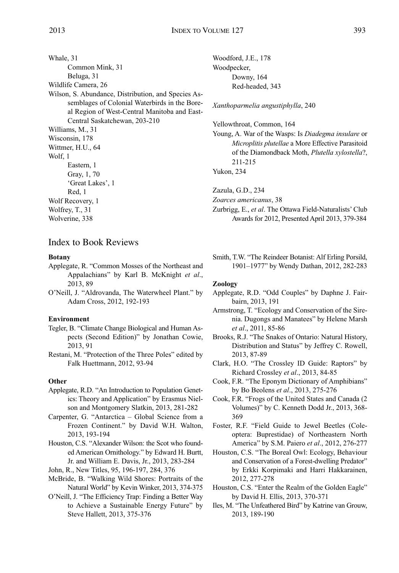Whale, 31 Common Mink, 31 Beluga, 31 Wildlife Camera, 26 Wilson, S. Abundance, Distribution, and Species Assemblages of Colonial Waterbirds in the Boreal Region of West-Central Manitoba and East-Central Saskatchewan, 203-210 Williams, M., 31 Wisconsin, 178 Wittmer, H.U., 64 Wolf, 1 Eastern, 1 Gray, 1, 70 'Great Lakes', 1 Red, 1 Wolf Recovery, 1 Wolfrey, T., 31 Wolverine, 338

### Index to Book Reviews

#### **Botany**

- Applegate, R. "Common Mosses of the Northeast and Appalachians" by Karl B. McKnight *et al*., 2013, 89
- O'Neill, J. "Aldrovanda, The Waterwheel Plant." by Adam Cross, 2012, 192-193

#### **Environment**

- Tegler, B. "Climate Change Biological and Human Aspects (Second Edition)" by Jonathan Cowie, 2013, 91
- Restani, M. "Protection of the Three Poles" edited by Falk Huettmann, 2012, 93-94

#### **Other**

- Applegate, R.D. "An Introduction to Population Genetics: Theory and Application" by Erasmus Nielson and Montgomery Slatkin, 2013, 281-282
- Carpenter, G. "Antarctica Global Science from a Frozen Continent." by David W.H. Walton, 2013, 193-194
- Houston, C.S. "Alexander Wilson: the Scot who founded American Ornithology." by Edward H. Burtt, Jr. and William E. Davis, Jr., 2013, 283-284
- John, R., New Titles, 95, 196-197, 284, 376
- McBride, B. "Walking Wild Shores: Portraits of the Natural World" by Kevin Winker, 2013, 374-375
- O'Neill, J. "The Efficiency Trap: Finding a Better Way to Achieve a Sustainable Energy Future" by Steve Hallett, 2013, 375-376

Woodford, J.E., 178 Woodpecker, Downy, 164 Red-headed, 343

*Xanthoparmelia angustiphylla*, 240

Yellowthroat, Common, 164

Young, A. War of the Wasps: Is *Diadegma insulare* or *Microplitis plutellae* a More Effective Parasitoid of the Diamondback Moth, *Plutella xylostella*?, 211-215

Yukon, 234

Zazula, G.D., 234

*Zoarces americanus*, 38

- Zurbrigg, E., *et al*. The Ottawa Field-Naturalists' Club Awards for 2012, Presented April 2013, 379-384
- Smith, T.W. "The Reindeer Botanist: Alf Erling Porsild, 1901–1977" by Wendy Dathan, 2012, 282-283

#### **Zoology**

- Applegate, R.D. "Odd Couples" by Daphne J. Fairbairn, 2013, 191
- Armstrong, T. "Ecology and Conservation of the Sirenia. Dugongs and Manatees" by Helene Marsh *et al*., 2011, 85-86
- Brooks, R.J. "The Snakes of Ontario: Natural History, Distribution and Status" by Jeffrey C. Rowell, 2013, 87-89
- Clark, H.O. "The Crossley ID Guide: Raptors" by Richard Crossley *et al*., 2013, 84-85
- Cook, F.R. "The Eponym Dictionary of Amphibians" by Bo Beolens *et al*., 2013, 275-276
- Cook, F.R. "Frogs of the United States and Canada (2 Volumes)" by C. Kenneth Dodd Jr., 2013, 368- 369
- Foster, R.F. "Field Guide to Jewel Beetles (Coleoptera: Buprestidae) of Northeastern North America" by S.M. Paiero *et al*., 2012, 276-277
- Houston, C.S. "The Boreal Owl: Ecology, Behaviour and Conservation of a Forest-dwelling Predator" by Erkki Korpimaki and Harri Hakkarainen, 2012, 277-278
- Houston, C.S. "Enter the Realm of the Golden Eagle" by David H. Ellis, 2013, 370-371
- Iles, M. "The Unfeathered Bird" by Katrine van Grouw, 2013, 189-190